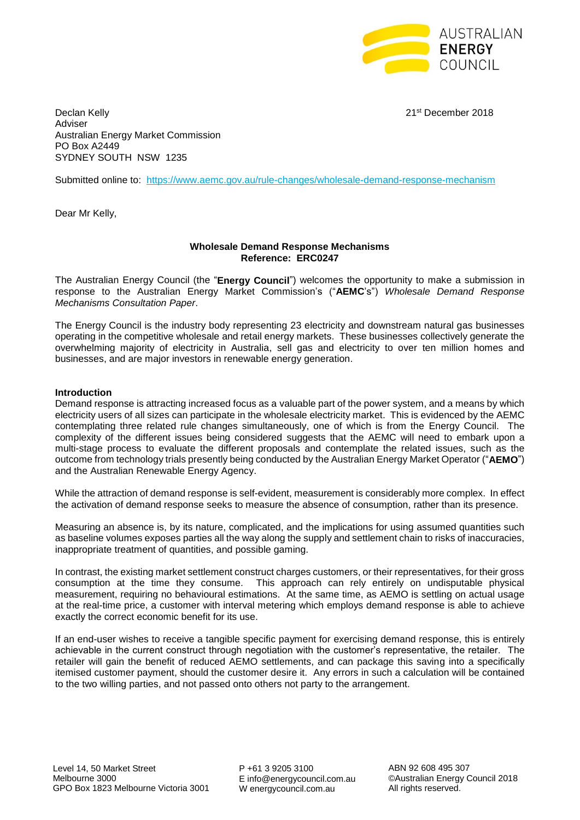

Declan Kelly 21st December 2018 Adviser Australian Energy Market Commission PO Box A2449 SYDNEY SOUTH NSW 1235

Submitted online to: <https://www.aemc.gov.au/rule-changes/wholesale-demand-response-mechanism>

Dear Mr Kelly,

#### **Wholesale Demand Response Mechanisms Reference: ERC0247**

The Australian Energy Council (the "**Energy Council**") welcomes the opportunity to make a submission in response to the Australian Energy Market Commission's ("**AEMC**'s") *Wholesale Demand Response Mechanisms Consultation Paper*.

The Energy Council is the industry body representing 23 electricity and downstream natural gas businesses operating in the competitive wholesale and retail energy markets. These businesses collectively generate the overwhelming majority of electricity in Australia, sell gas and electricity to over ten million homes and businesses, and are major investors in renewable energy generation.

## **Introduction**

Demand response is attracting increased focus as a valuable part of the power system, and a means by which electricity users of all sizes can participate in the wholesale electricity market. This is evidenced by the AEMC contemplating three related rule changes simultaneously, one of which is from the Energy Council. The complexity of the different issues being considered suggests that the AEMC will need to embark upon a multi-stage process to evaluate the different proposals and contemplate the related issues, such as the outcome from technology trials presently being conducted by the Australian Energy Market Operator ("**AEMO**") and the Australian Renewable Energy Agency.

While the attraction of demand response is self-evident, measurement is considerably more complex. In effect the activation of demand response seeks to measure the absence of consumption, rather than its presence.

Measuring an absence is, by its nature, complicated, and the implications for using assumed quantities such as baseline volumes exposes parties all the way along the supply and settlement chain to risks of inaccuracies, inappropriate treatment of quantities, and possible gaming.

In contrast, the existing market settlement construct charges customers, or their representatives, for their gross consumption at the time they consume. This approach can rely entirely on undisputable physical measurement, requiring no behavioural estimations. At the same time, as AEMO is settling on actual usage at the real-time price, a customer with interval metering which employs demand response is able to achieve exactly the correct economic benefit for its use.

If an end-user wishes to receive a tangible specific payment for exercising demand response, this is entirely achievable in the current construct through negotiation with the customer's representative, the retailer. The retailer will gain the benefit of reduced AEMO settlements, and can package this saving into a specifically itemised customer payment, should the customer desire it. Any errors in such a calculation will be contained to the two willing parties, and not passed onto others not party to the arrangement.

P +61 3 9205 3100 E info@energycouncil.com.au W energycouncil.com.au

ABN 92 608 495 307 ©Australian Energy Council 2018 All rights reserved.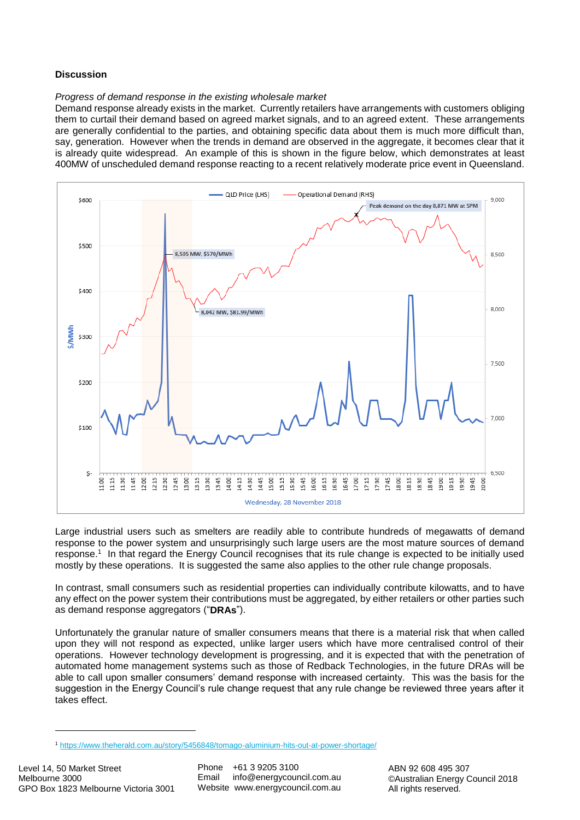# **Discussion**

## *Progress of demand response in the existing wholesale market*

Demand response already exists in the market. Currently retailers have arrangements with customers obliging them to curtail their demand based on agreed market signals, and to an agreed extent. These arrangements are generally confidential to the parties, and obtaining specific data about them is much more difficult than, say, generation. However when the trends in demand are observed in the aggregate, it becomes clear that it is already quite widespread. An example of this is shown in the figure below, which demonstrates at least 400MW of unscheduled demand response reacting to a recent relatively moderate price event in Queensland.



Large industrial users such as smelters are readily able to contribute hundreds of megawatts of demand response to the power system and unsurprisingly such large users are the most mature sources of demand response. 1 In that regard the Energy Council recognises that its rule change is expected to be initially used mostly by these operations. It is suggested the same also applies to the other rule change proposals.

In contrast, small consumers such as residential properties can individually contribute kilowatts, and to have any effect on the power system their contributions must be aggregated, by either retailers or other parties such as demand response aggregators ("**DRAs**").

Unfortunately the granular nature of smaller consumers means that there is a material risk that when called upon they will not respond as expected, unlike larger users which have more centralised control of their operations. However technology development is progressing, and it is expected that with the penetration of automated home management systems such as those of Redback Technologies, in the future DRAs will be able to call upon smaller consumers' demand response with increased certainty. This was the basis for the suggestion in the Energy Council's rule change request that any rule change be reviewed three years after it takes effect.

**.** 

<sup>1</sup> <https://www.theherald.com.au/story/5456848/tomago-aluminium-hits-out-at-power-shortage/>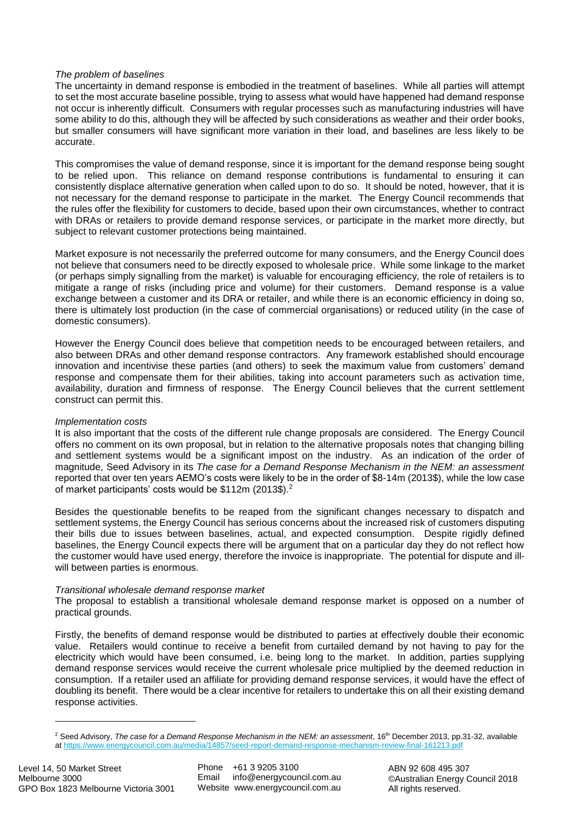## *The problem of baselines*

The uncertainty in demand response is embodied in the treatment of baselines. While all parties will attempt to set the most accurate baseline possible, trying to assess what would have happened had demand response not occur is inherently difficult. Consumers with regular processes such as manufacturing industries will have some ability to do this, although they will be affected by such considerations as weather and their order books, but smaller consumers will have significant more variation in their load, and baselines are less likely to be accurate.

This compromises the value of demand response, since it is important for the demand response being sought to be relied upon. This reliance on demand response contributions is fundamental to ensuring it can consistently displace alternative generation when called upon to do so. It should be noted, however, that it is not necessary for the demand response to participate in the market. The Energy Council recommends that the rules offer the flexibility for customers to decide, based upon their own circumstances, whether to contract with DRAs or retailers to provide demand response services, or participate in the market more directly, but subject to relevant customer protections being maintained.

Market exposure is not necessarily the preferred outcome for many consumers, and the Energy Council does not believe that consumers need to be directly exposed to wholesale price. While some linkage to the market (or perhaps simply signalling from the market) is valuable for encouraging efficiency, the role of retailers is to mitigate a range of risks (including price and volume) for their customers. Demand response is a value exchange between a customer and its DRA or retailer, and while there is an economic efficiency in doing so, there is ultimately lost production (in the case of commercial organisations) or reduced utility (in the case of domestic consumers).

However the Energy Council does believe that competition needs to be encouraged between retailers, and also between DRAs and other demand response contractors. Any framework established should encourage innovation and incentivise these parties (and others) to seek the maximum value from customers' demand response and compensate them for their abilities, taking into account parameters such as activation time, availability, duration and firmness of response. The Energy Council believes that the current settlement construct can permit this.

#### *Implementation costs*

It is also important that the costs of the different rule change proposals are considered. The Energy Council offers no comment on its own proposal, but in relation to the alternative proposals notes that changing billing and settlement systems would be a significant impost on the industry. As an indication of the order of magnitude, Seed Advisory in its *The case for a Demand Response Mechanism in the NEM: an assessment* reported that over ten years AEMO's costs were likely to be in the order of \$8-14m (2013\$), while the low case of market participants' costs would be \$112m (2013\$).<sup>2</sup>

Besides the questionable benefits to be reaped from the significant changes necessary to dispatch and settlement systems, the Energy Council has serious concerns about the increased risk of customers disputing their bills due to issues between baselines, actual, and expected consumption. Despite rigidly defined baselines, the Energy Council expects there will be argument that on a particular day they do not reflect how the customer would have used energy, therefore the invoice is inappropriate. The potential for dispute and illwill between parties is enormous.

#### *Transitional wholesale demand response market*

The proposal to establish a transitional wholesale demand response market is opposed on a number of practical grounds.

Firstly, the benefits of demand response would be distributed to parties at effectively double their economic value. Retailers would continue to receive a benefit from curtailed demand by not having to pay for the electricity which would have been consumed, i.e. being long to the market. In addition, parties supplying demand response services would receive the current wholesale price multiplied by the deemed reduction in consumption. If a retailer used an affiliate for providing demand response services, it would have the effect of doubling its benefit. There would be a clear incentive for retailers to undertake this on all their existing demand response activities.

1

<sup>&</sup>lt;sup>2</sup> Seed Advisory, *The case for a Demand Response Mechanism in the NEM: an assessment*, 16<sup>th</sup> December 2013, pp.31-32, available a[t https://www.energycouncil.com.au/media/14857/seed-report-demand-response-mechanism-review-final-161213.pdf](https://www.energycouncil.com.au/media/14857/seed-report-demand-response-mechanism-review-final-161213.pdf)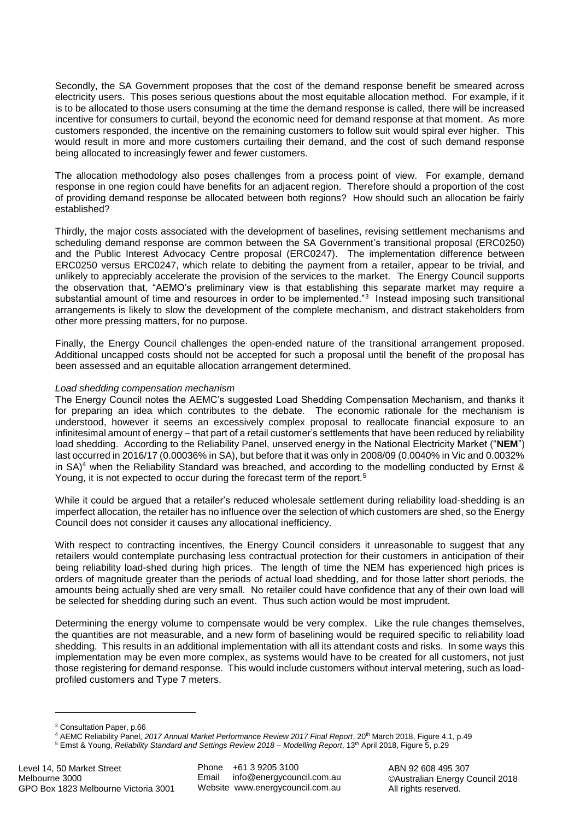Secondly, the SA Government proposes that the cost of the demand response benefit be smeared across electricity users. This poses serious questions about the most equitable allocation method. For example, if it is to be allocated to those users consuming at the time the demand response is called, there will be increased incentive for consumers to curtail, beyond the economic need for demand response at that moment. As more customers responded, the incentive on the remaining customers to follow suit would spiral ever higher. This would result in more and more customers curtailing their demand, and the cost of such demand response being allocated to increasingly fewer and fewer customers.

The allocation methodology also poses challenges from a process point of view. For example, demand response in one region could have benefits for an adjacent region. Therefore should a proportion of the cost of providing demand response be allocated between both regions? How should such an allocation be fairly established?

Thirdly, the major costs associated with the development of baselines, revising settlement mechanisms and scheduling demand response are common between the SA Government's transitional proposal (ERC0250) and the Public Interest Advocacy Centre proposal (ERC0247). The implementation difference between ERC0250 versus ERC0247, which relate to debiting the payment from a retailer, appear to be trivial, and unlikely to appreciably accelerate the provision of the services to the market. The Energy Council supports the observation that, "AEMO's preliminary view is that establishing this separate market may require a substantial amount of time and resources in order to be implemented."<sup>3</sup> Instead imposing such transitional arrangements is likely to slow the development of the complete mechanism, and distract stakeholders from other more pressing matters, for no purpose.

Finally, the Energy Council challenges the open-ended nature of the transitional arrangement proposed. Additional uncapped costs should not be accepted for such a proposal until the benefit of the proposal has been assessed and an equitable allocation arrangement determined.

# *Load shedding compensation mechanism*

The Energy Council notes the AEMC's suggested Load Shedding Compensation Mechanism, and thanks it for preparing an idea which contributes to the debate. The economic rationale for the mechanism is understood, however it seems an excessively complex proposal to reallocate financial exposure to an infinitesimal amount of energy – that part of a retail customer's settlements that have been reduced by reliability load shedding. According to the Reliability Panel, unserved energy in the National Electricity Market ("**NEM**") last occurred in 2016/17 (0.00036% in SA), but before that it was only in 2008/09 (0.0040% in Vic and 0.0032% in SA)<sup>4</sup> when the Reliability Standard was breached, and according to the modelling conducted by Ernst & Young, it is not expected to occur during the forecast term of the report.<sup>5</sup>

While it could be argued that a retailer's reduced wholesale settlement during reliability load-shedding is an imperfect allocation, the retailer has no influence over the selection of which customers are shed, so the Energy Council does not consider it causes any allocational inefficiency.

With respect to contracting incentives, the Energy Council considers it unreasonable to suggest that any retailers would contemplate purchasing less contractual protection for their customers in anticipation of their being reliability load-shed during high prices. The length of time the NEM has experienced high prices is orders of magnitude greater than the periods of actual load shedding, and for those latter short periods, the amounts being actually shed are very small. No retailer could have confidence that any of their own load will be selected for shedding during such an event. Thus such action would be most imprudent.

Determining the energy volume to compensate would be very complex. Like the rule changes themselves, the quantities are not measurable, and a new form of baselining would be required specific to reliability load shedding. This results in an additional implementation with all its attendant costs and risks. In some ways this implementation may be even more complex, as systems would have to be created for all customers, not just those registering for demand response. This would include customers without interval metering, such as loadprofiled customers and Type 7 meters.

**.** 

<sup>3</sup> Consultation Paper, p.66

<sup>4</sup> AEMC Reliability Panel, *2017 Annual Market Performance Review 2017 Final Report*, 20th March 2018, Figure 4.1, p.49

<sup>5</sup> Ernst & Young, *Reliability Standard and Settings Review 2018 – Modelling Report*, 13th April 2018, Figure 5, p.29